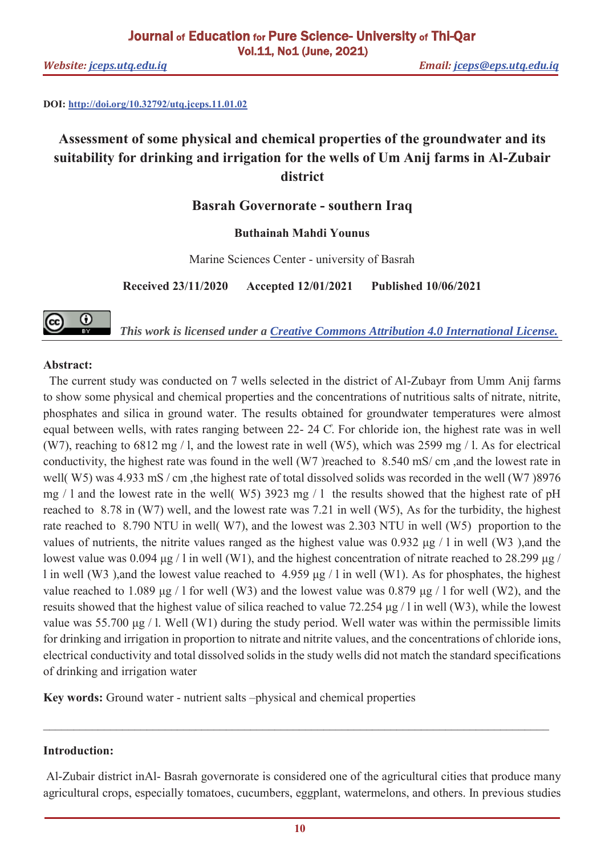**DOI: http://doi.org/10.32792/utq.jceps.11.01.02** 

# **Assessment of some physical and chemical properties of the groundwater and its suitability for drinking and irrigation for the wells of Um Anij farms in Al-Zubair district**

## **Basrah Governorate - southern Iraq**

## **Buthainah Mahdi Younus**

Marine Sciences Center - university of Basrah

**Received 23/11/2020 Accepted 12/01/2021 Published 10/06/2021**

*This work is licensed under a Creative Commons Attribution 4.0 International License.*

## **Abstract:**

(cc)

 $\odot$ 

 The current study was conducted on 7 wells selected in the district of Al-Zubayr from Umm Anij farms to show some physical and chemical properties and the concentrations of nutritious salts of nitrate, nitrite, phosphates and silica in ground water. The results obtained for groundwater temperatures were almost equal between wells, with rates ranging between 22- 24 C. For chloride ion, the highest rate was in well (W7), reaching to 6812 mg / l, and the lowest rate in well (W5), which was 2599 mg / l. As for electrical conductivity, the highest rate was found in the well (W7 )reached to 8.540 mS/ cm ,and the lowest rate in well( W5) was 4.933 mS / cm, the highest rate of total dissolved solids was recorded in the well (W7)8976 mg / l and the lowest rate in the well( W5) 3923 mg / l the results showed that the highest rate of pH reached to 8.78 in (W7) well, and the lowest rate was 7.21 in well (W5), As for the turbidity, the highest rate reached to 8.790 NTU in well( W7), and the lowest was 2.303 NTU in well (W5) proportion to the values of nutrients, the nitrite values ranged as the highest value was 0.932 μg / l in well (W3 ),and the lowest value was 0.094 μg / l in well (W1), and the highest concentration of nitrate reached to 28.299 μg / l in well (W3 ),and the lowest value reached to 4.959 μg / l in well (W1). As for phosphates, the highest value reached to 1.089 μg / 1 for well (W3) and the lowest value was 0.879 μg / 1 for well (W2), and the resuits showed that the highest value of silica reached to value 72.254 μg / l in well (W3), while the lowest value was 55.700 μg / l. Well (W1) during the study period. Well water was within the permissible limits for drinking and irrigation in proportion to nitrate and nitrite values, and the concentrations of chloride ions, electrical conductivity and total dissolved solids in the study wells did not match the standard specifications of drinking and irrigation water

**Key words:** Ground water - nutrient salts –physical and chemical properties

## **Introduction:**

Al-Zubair district inAl- Basrah governorate is considered one of the agricultural cities that produce many agricultural crops, especially tomatoes, cucumbers, eggplant, watermelons, and others. In previous studies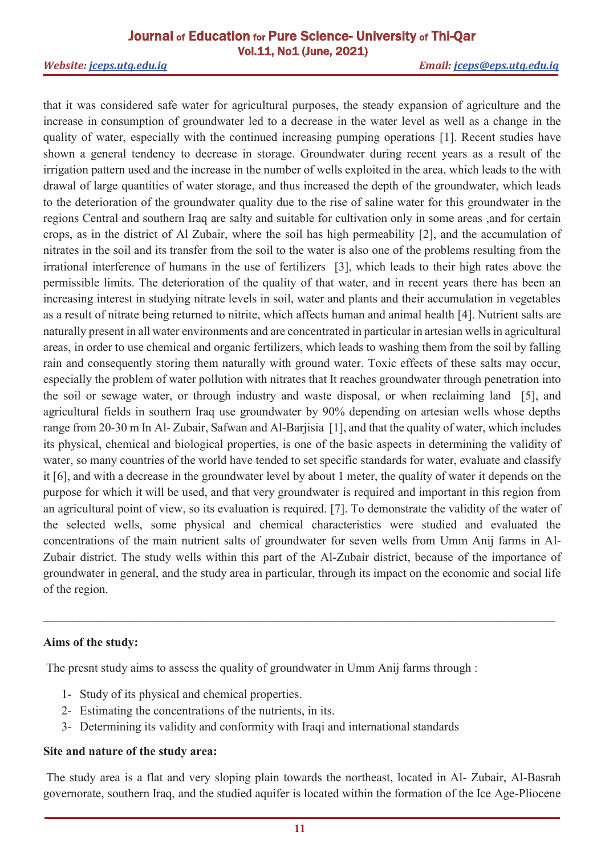that it was considered safe water for agricultural purposes, the steady expansion of agriculture and the increase in consumption of groundwater led to a decrease in the water level as well as a change in the quality of water, especially with the continued increasing pumping operations [1]. Recent studies have shown a general tendency to decrease in storage. Groundwater during recent years as a result of the irrigation pattern used and the increase in the number of wells exploited in the area, which leads to the with drawal of large quantities of water storage, and thus increased the depth of the groundwater, which leads to the deterioration of the groundwater quality due to the rise of saline water for this groundwater in the regions Central and southern Iraq are salty and suitable for cultivation only in some areas ,and for certain crops, as in the district of Al Zubair, where the soil has high permeability [2], and the accumulation of nitrates in the soil and its transfer from the soil to the water is also one of the problems resulting from the irrational interference of humans in the use of fertilizers [3], which leads to their high rates above the permissible limits. The deterioration of the quality of that water, and in recent years there has been an increasing interest in studying nitrate levels in soil, water and plants and their accumulation in vegetables as a result of nitrate being returned to nitrite, which affects human and animal health [4]. Nutrient salts are naturally present in all water environments and are concentrated in particular in artesian wells in agricultural areas, in order to use chemical and organic fertilizers, which leads to washing them from the soil by falling rain and consequently storing them naturally with ground water. Toxic effects of these salts may occur, especially the problem of water pollution with nitrates that It reaches groundwater through penetration into the soil or sewage water, or through industry and waste disposal, or when reclaiming land [5], and agricultural fields in southern Iraq use groundwater by 90% depending on artesian wells whose depths range from 20-30 m In Al- Zubair, Safwan and Al-Barjisia [1], and that the quality of water, which includes its physical, chemical and biological properties, is one of the basic aspects in determining the validity of water, so many countries of the world have tended to set specific standards for water, evaluate and classify it [6], and with a decrease in the groundwater level by about 1 meter, the quality of water it depends on the purpose for which it will be used, and that very groundwater is required and important in this region from an agricultural point of view, so its evaluation is required. [7]. To demonstrate the validity of the water of the selected wells, some physical and chemical characteristics were studied and evaluated the concentrations of the main nutrient salts of groundwater for seven wells from Umm Anij farms in Al-Zubair district. The study wells within this part of the Al-Zubair district, because of the importance of groundwater in general, and the study area in particular, through its impact on the economic and social life of the region.

## **Aims of the study:**

The presnt study aims to assess the quality of groundwater in Umm Anij farms through :

- 1- Study of its physical and chemical properties.
- 2- Estimating the concentrations of the nutrients, in its.
- 3- Determining its validity and conformity with Iraqi and international standards

## **Site and nature of the study area:**

 The study area is a flat and very sloping plain towards the northeast, located in Al- Zubair, Al-Basrah governorate, southern Iraq, and the studied aquifer is located within the formation of the Ice Age-Pliocene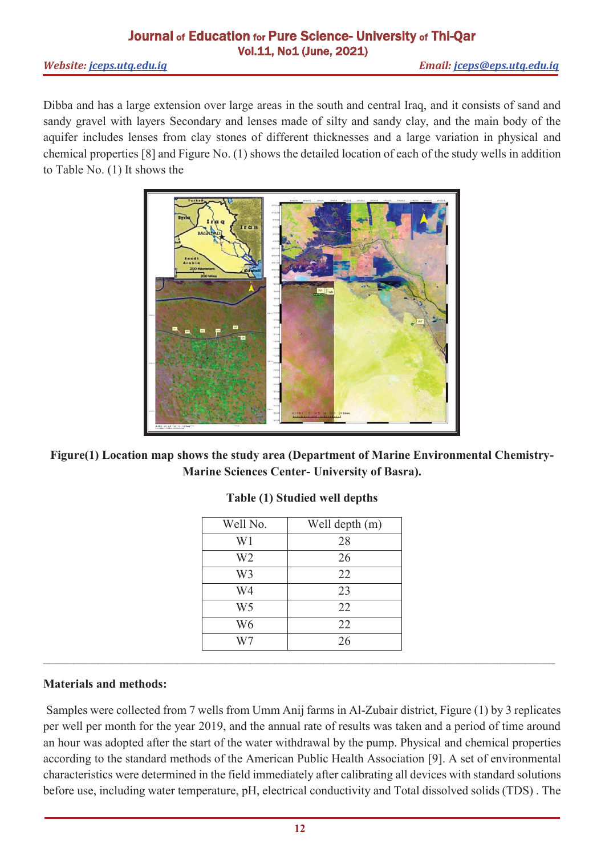Dibba and has a large extension over large areas in the south and central Iraq, and it consists of sand and sandy gravel with layers Secondary and lenses made of silty and sandy clay, and the main body of the aquifer includes lenses from clay stones of different thicknesses and a large variation in physical and chemical properties [8] and Figure No. (1) shows the detailed location of each of the study wells in addition to Table No. (1) It shows the



**Figure(1) Location map shows the study area (Department of Marine Environmental Chemistry-Marine Sciences Center- University of Basra).** 

| Well No.       | Well depth (m) |  |  |  |
|----------------|----------------|--|--|--|
| W1             | 28             |  |  |  |
| W2             | 26             |  |  |  |
| W <sub>3</sub> | 22             |  |  |  |
| W4             | 23             |  |  |  |
| W <sub>5</sub> | 22             |  |  |  |
| W6             | 22             |  |  |  |
|                | 26             |  |  |  |

# **Table (1) Studied well depths**

## **Materials and methods:**

 Samples were collected from 7 wells from Umm Anij farms in Al-Zubair district, Figure (1) by 3 replicates per well per month for the year 2019, and the annual rate of results was taken and a period of time around an hour was adopted after the start of the water withdrawal by the pump. Physical and chemical properties according to the standard methods of the American Public Health Association [9]. A set of environmental characteristics were determined in the field immediately after calibrating all devices with standard solutions before use, including water temperature, pH, electrical conductivity and Total dissolved solids (TDS) . The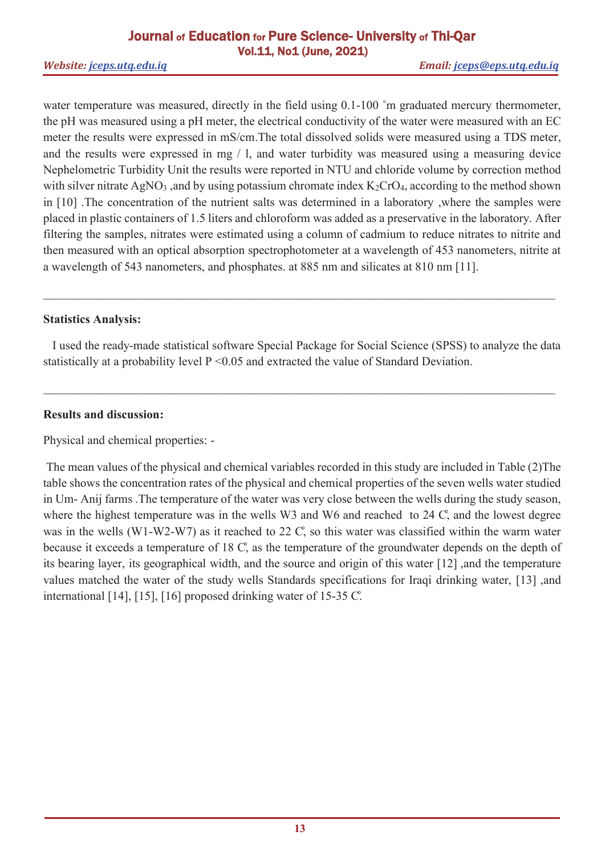water temperature was measured, directly in the field using 0.1-100 °m graduated mercury thermometer, the pH was measured using a pH meter, the electrical conductivity of the water were measured with an EC meter the results were expressed in mS/cm.The total dissolved solids were measured using a TDS meter, and the results were expressed in mg / l, and water turbidity was measured using a measuring device Nephelometric Turbidity Unit the results were reported in NTU and chloride volume by correction method with silver nitrate  $AgNO_3$ , and by using potassium chromate index  $K_2CrO_4$ , according to the method shown in [10] .The concentration of the nutrient salts was determined in a laboratory ,where the samples were placed in plastic containers of 1.5 liters and chloroform was added as a preservative in the laboratory. After filtering the samples, nitrates were estimated using a column of cadmium to reduce nitrates to nitrite and then measured with an optical absorption spectrophotometer at a wavelength of 453 nanometers, nitrite at a wavelength of 543 nanometers, and phosphates. at 885 nm and silicates at 810 nm [11].

## **Statistics Analysis:**

 I used the ready-made statistical software Special Package for Social Science (SPSS) to analyze the data statistically at a probability level  $P \le 0.05$  and extracted the value of Standard Deviation.

 $\_$  , and the set of the set of the set of the set of the set of the set of the set of the set of the set of the set of the set of the set of the set of the set of the set of the set of the set of the set of the set of th

## **Results and discussion:**

Physical and chemical properties: -

 The mean values of the physical and chemical variables recorded in this study are included in Table (2)The table shows the concentration rates of the physical and chemical properties of the seven wells water studied in Um- Anij farms .The temperature of the water was very close between the wells during the study season, where the highest temperature was in the wells W3 and W6 and reached to 24 C, and the lowest degree was in the wells (W1-W2-W7) as it reached to  $22 \text{ C}$ , so this water was classified within the warm water because it exceeds a temperature of 18 C, as the temperature of the groundwater depends on the depth of its bearing layer, its geographical width, and the source and origin of this water [12] ,and the temperature values matched the water of the study wells Standards specifications for Iraqi drinking water, [13] ,and international  $[14]$ ,  $[15]$ ,  $[16]$  proposed drinking water of 15-35 C.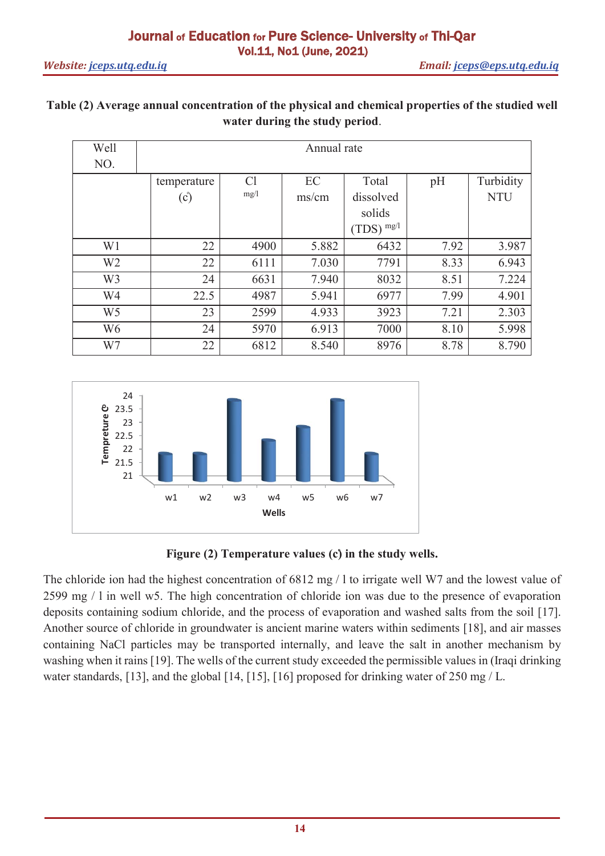# **Table (2) Average annual concentration of the physical and chemical properties of the studied well water during the study period**.

| Well           | Annual rate |      |                |                |      |            |  |  |
|----------------|-------------|------|----------------|----------------|------|------------|--|--|
| NO.            |             |      |                |                |      |            |  |  |
|                | temperature | Cl   | EC             | Total          | pH   | Turbidity  |  |  |
|                | (c)         | mg/1 | $\text{ms/cm}$ | dissolved      |      | <b>NTU</b> |  |  |
|                |             |      |                | solids         |      |            |  |  |
|                |             |      |                | $(TDS)^{mg/l}$ |      |            |  |  |
| W <sub>1</sub> | 22          | 4900 | 5.882          | 6432           | 7.92 | 3.987      |  |  |
| W <sub>2</sub> | 22          | 6111 | 7.030          | 7791           | 8.33 | 6.943      |  |  |
| W <sub>3</sub> | 24          | 6631 | 7.940          | 8032           | 8.51 | 7.224      |  |  |
| W4             | 22.5        | 4987 | 5.941          | 6977           | 7.99 | 4.901      |  |  |
| W <sub>5</sub> | 23          | 2599 | 4.933          | 3923           | 7.21 | 2.303      |  |  |
| W <sub>6</sub> | 24          | 5970 | 6.913          | 7000           | 8.10 | 5.998      |  |  |
| W7             | 22          | 6812 | 8.540          | 8976           | 8.78 | 8.790      |  |  |



# Figure (2) Temperature values (c) in the study wells.

The chloride ion had the highest concentration of 6812 mg / l to irrigate well W7 and the lowest value of 2599 mg / l in well w5. The high concentration of chloride ion was due to the presence of evaporation deposits containing sodium chloride, and the process of evaporation and washed salts from the soil [17]. Another source of chloride in groundwater is ancient marine waters within sediments [18], and air masses containing NaCl particles may be transported internally, and leave the salt in another mechanism by washing when it rains [19]. The wells of the current study exceeded the permissible values in (Iraqi drinking water standards, [13], and the global [14, [15], [16] proposed for drinking water of 250 mg / L.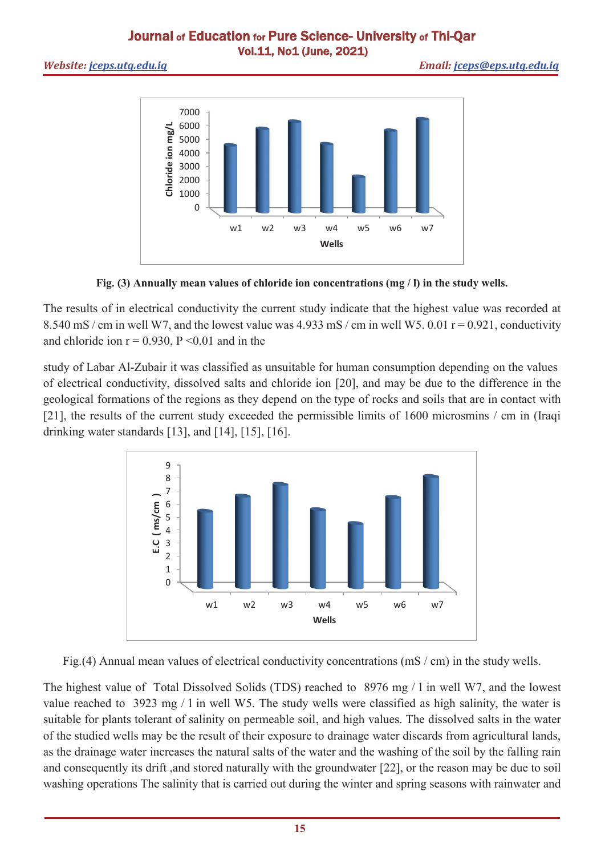*Website: jceps.utq.edu.iq Email: jceps@eps.utq.edu.iq*



**Fig. (3) Annually mean values of chloride ion concentrations (mg / l) in the study wells.** 

The results of in electrical conductivity the current study indicate that the highest value was recorded at 8.540 mS / cm in well W7, and the lowest value was  $4.933$  mS / cm in well W5. 0.01  $r = 0.921$ , conductivity and chloride ion  $r = 0.930$ ,  $P \le 0.01$  and in the

study of Labar Al-Zubair it was classified as unsuitable for human consumption depending on the values of electrical conductivity, dissolved salts and chloride ion [20], and may be due to the difference in the geological formations of the regions as they depend on the type of rocks and soils that are in contact with [21], the results of the current study exceeded the permissible limits of 1600 microsmins / cm in (Iraqi drinking water standards [13], and [14], [15], [16].



Fig.(4) Annual mean values of electrical conductivity concentrations (mS / cm) in the study wells.

The highest value of Total Dissolved Solids (TDS) reached to 8976 mg / l in well W7, and the lowest value reached to 3923 mg / l in well W5. The study wells were classified as high salinity, the water is suitable for plants tolerant of salinity on permeable soil, and high values. The dissolved salts in the water of the studied wells may be the result of their exposure to drainage water discards from agricultural lands, as the drainage water increases the natural salts of the water and the washing of the soil by the falling rain and consequently its drift ,and stored naturally with the groundwater [22], or the reason may be due to soil washing operations The salinity that is carried out during the winter and spring seasons with rainwater and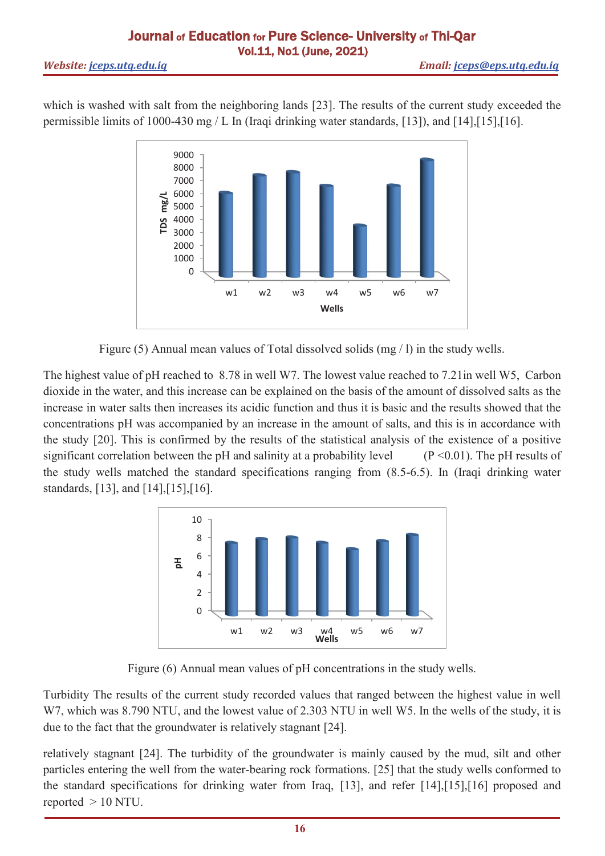which is washed with salt from the neighboring lands [23]. The results of the current study exceeded the permissible limits of 1000-430 mg / L In (Iraqi drinking water standards, [13]), and [14],[15],[16].



Figure (5) Annual mean values of Total dissolved solids (mg / l) in the study wells.

The highest value of pH reached to 8.78 in well W7. The lowest value reached to 7.21in well W5, Carbon dioxide in the water, and this increase can be explained on the basis of the amount of dissolved salts as the increase in water salts then increases its acidic function and thus it is basic and the results showed that the concentrations pH was accompanied by an increase in the amount of salts, and this is in accordance with the study [20]. This is confirmed by the results of the statistical analysis of the existence of a positive significant correlation between the pH and salinity at a probability level  $(P \le 0.01)$ . The pH results of the study wells matched the standard specifications ranging from (8.5-6.5). In (Iraqi drinking water standards, [13], and [14],[15],[16].



Figure (6) Annual mean values of pH concentrations in the study wells.

Turbidity The results of the current study recorded values that ranged between the highest value in well W7, which was 8.790 NTU, and the lowest value of 2.303 NTU in well W5. In the wells of the study, it is due to the fact that the groundwater is relatively stagnant [24].

relatively stagnant [24]. The turbidity of the groundwater is mainly caused by the mud, silt and other particles entering the well from the water-bearing rock formations. [25] that the study wells conformed to the standard specifications for drinking water from Iraq, [13], and refer [14],[15],[16] proposed and reported  $> 10$  NTU.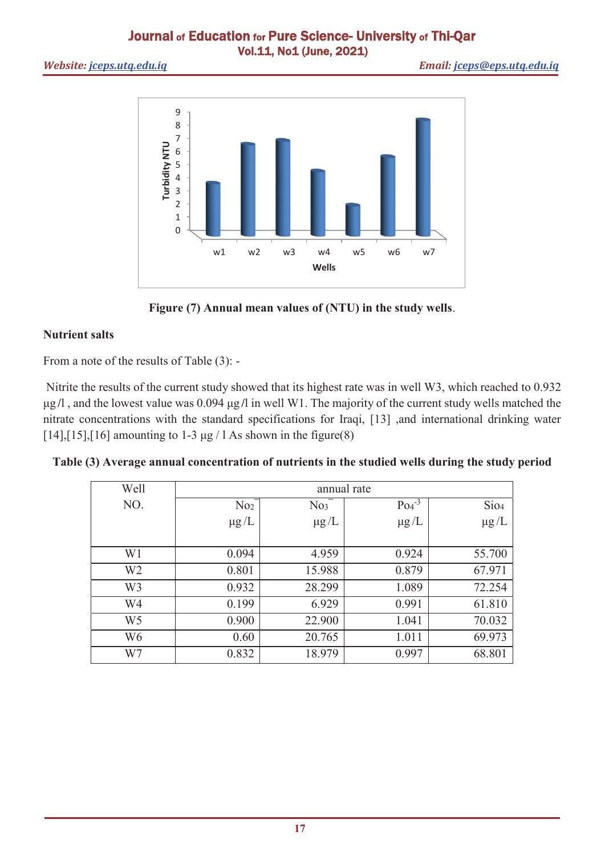*Website: jceps.utq.edu.iq Email: jceps@eps.utq.edu.iq*



**Figure (7) Annual mean values of (NTU) in the study wells**.

# **Nutrient salts**

From a note of the results of Table (3): -

 Nitrite the results of the current study showed that its highest rate was in well W3, which reached to 0.932 μg **/**l , and the lowest value was 0.094 μg **/**l in well W1. The majority of the current study wells matched the nitrate concentrations with the standard specifications for Iraqi, [13] ,and international drinking water [14],[15],[16] amounting to 1-3  $\mu$ g / 1 As shown in the figure(8)

**Table (3) Average annual concentration of nutrients in the studied wells during the study period**

| Well           | annual rate     |                 |            |                  |  |  |
|----------------|-----------------|-----------------|------------|------------------|--|--|
| NO.            | No <sub>2</sub> | No <sub>3</sub> | $Po4^{-3}$ | Sio <sub>4</sub> |  |  |
|                | $\mu$ g/L       | $\mu g/L$       | $\mu g/L$  | $\mu$ g/L        |  |  |
|                |                 |                 |            |                  |  |  |
| W1             | 0.094           | 4.959           | 0.924      | 55.700           |  |  |
| W <sub>2</sub> | 0.801           | 15.988          | 0.879      | 67.971           |  |  |
| W <sub>3</sub> | 0.932           | 28.299          | 1.089      | 72.254           |  |  |
| W4             | 0.199           | 6.929           | 0.991      | 61.810           |  |  |
| W <sub>5</sub> | 0.900           | 22.900          | 1.041      | 70.032           |  |  |
| W6             | 0.60            | 20.765          | 1.011      | 69.973           |  |  |
| W7             | 0.832           | 18.979          | 0.997      | 68.801           |  |  |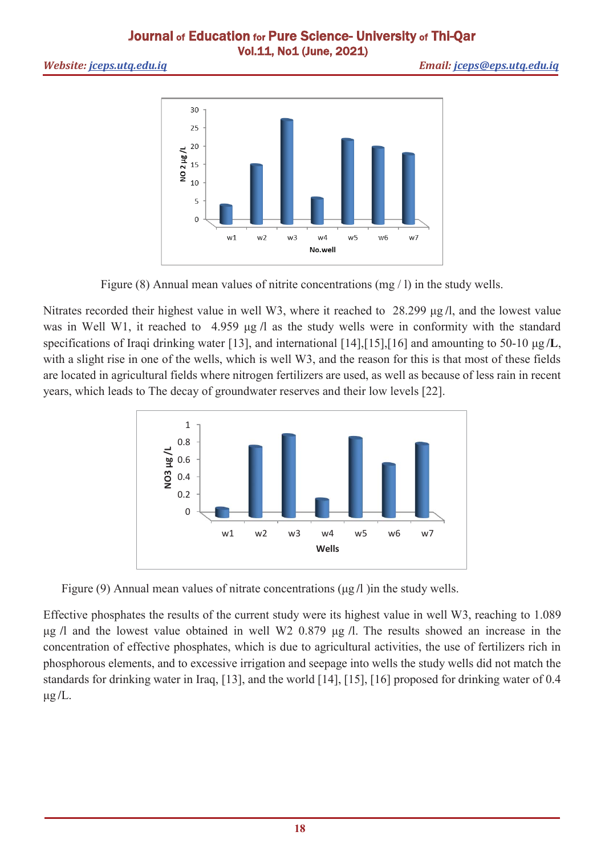*Website: jceps.utq.edu.iq Email: jceps@eps.utq.edu.iq*



Figure (8) Annual mean values of nitrite concentrations (mg / l) in the study wells.

Nitrates recorded their highest value in well W3, where it reached to 28.299 μg **/**l, and the lowest value was in Well W1, it reached to 4.959 μg **/**l as the study wells were in conformity with the standard specifications of Iraqi drinking water [13], and international [14],[15],[16] and amounting to 50-10 μg **/L**, with a slight rise in one of the wells, which is well W3, and the reason for this is that most of these fields are located in agricultural fields where nitrogen fertilizers are used, as well as because of less rain in recent years, which leads to The decay of groundwater reserves and their low levels [22].



Figure (9) Annual mean values of nitrate concentrations (μg **/**l )in the study wells.

Effective phosphates the results of the current study were its highest value in well W3, reaching to 1.089 μg **/**l and the lowest value obtained in well W2 0.879 μg **/**l. The results showed an increase in the concentration of effective phosphates, which is due to agricultural activities, the use of fertilizers rich in phosphorous elements, and to excessive irrigation and seepage into wells the study wells did not match the standards for drinking water in Iraq, [13], and the world [14], [15], [16] proposed for drinking water of 0.4 μg **/**L.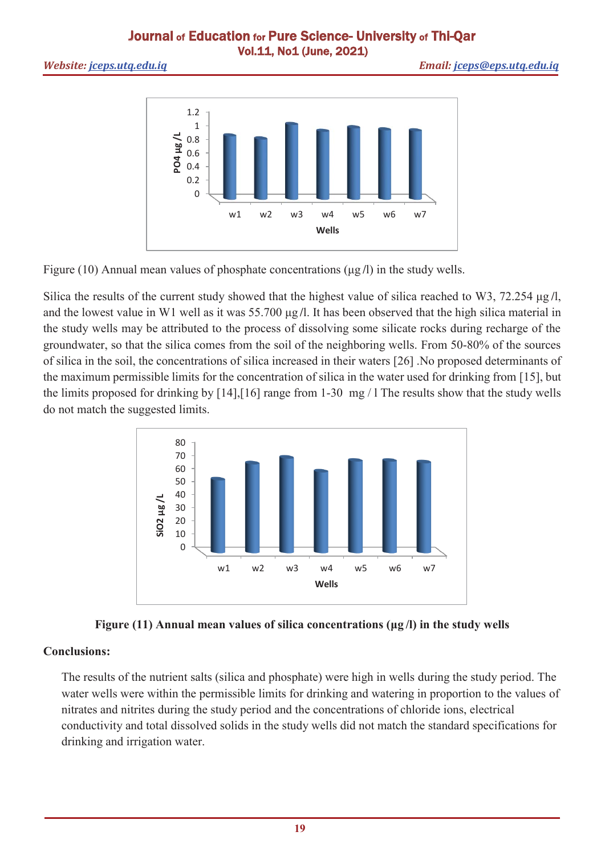

Figure (10) Annual mean values of phosphate concentrations (μg **/**l) in the study wells.

Silica the results of the current study showed that the highest value of silica reached to W3, 72.254 μg **/**l, and the lowest value in W1 well as it was 55.700 μg **/**l. It has been observed that the high silica material in the study wells may be attributed to the process of dissolving some silicate rocks during recharge of the groundwater, so that the silica comes from the soil of the neighboring wells. From 50-80% of the sources of silica in the soil, the concentrations of silica increased in their waters [26] .No proposed determinants of the maximum permissible limits for the concentration of silica in the water used for drinking from [15], but the limits proposed for drinking by [14],[16] range from 1-30 mg / l The results show that the study wells do not match the suggested limits.





# **Conclusions:**

The results of the nutrient salts (silica and phosphate) were high in wells during the study period. The water wells were within the permissible limits for drinking and watering in proportion to the values of nitrates and nitrites during the study period and the concentrations of chloride ions, electrical conductivity and total dissolved solids in the study wells did not match the standard specifications for drinking and irrigation water.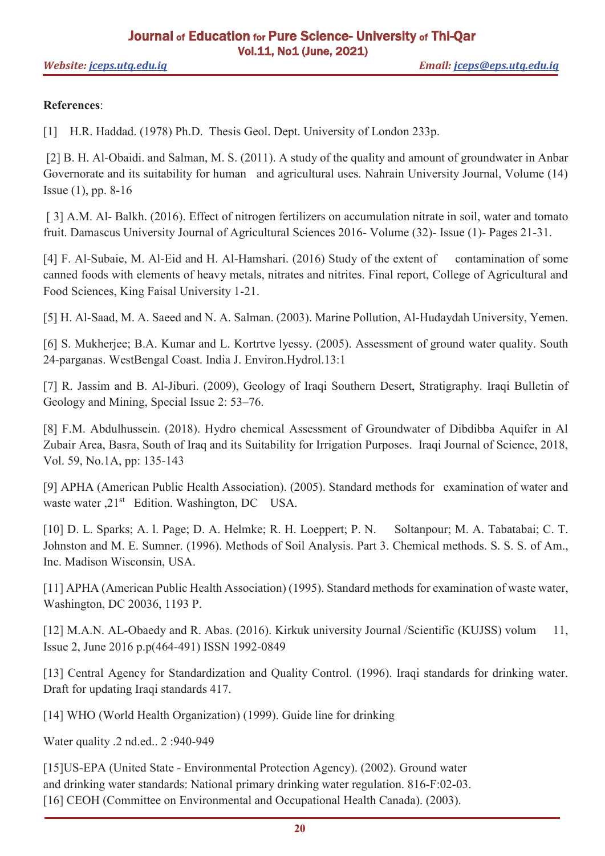## **References**:

[1] H.R. Haddad. (1978) Ph.D. Thesis Geol. Dept. University of London 233p.

[2] B. H. Al-Obaidi. and Salman, M. S. (2011). A study of the quality and amount of groundwater in Anbar Governorate and its suitability for human and agricultural uses. Nahrain University Journal, Volume (14) Issue (1), pp. 8-16

[ 3] A.M. Al- Balkh. (2016). Effect of nitrogen fertilizers on accumulation nitrate in soil, water and tomato fruit. Damascus University Journal of Agricultural Sciences 2016- Volume (32)- Issue (1)- Pages 21-31.

[4] F. Al-Subaie, M. Al-Eid and H. Al-Hamshari. (2016) Study of the extent of contamination of some canned foods with elements of heavy metals, nitrates and nitrites. Final report, College of Agricultural and Food Sciences, King Faisal University 1-21.

[5] H. Al-Saad, M. A. Saeed and N. A. Salman. (2003). Marine Pollution, Al-Hudaydah University, Yemen.

[6] S. Mukherjee; B.A. Kumar and L. Kortrtve lyessy. (2005). Assessment of ground water quality. South 24-parganas. WestBengal Coast. India J. Environ.Hydrol.13:1

[7] R. Jassim and B. Al-Jiburi. (2009), Geology of Iraqi Southern Desert, Stratigraphy. Iraqi Bulletin of Geology and Mining, Special Issue 2: 53–76.

[8] F.M. Abdulhussein. (2018). Hydro chemical Assessment of Groundwater of Dibdibba Aquifer in Al Zubair Area, Basra, South of Iraq and its Suitability for Irrigation Purposes. Iraqi Journal of Science, 2018, Vol. 59, No.1A, pp: 135-143

[9] APHA (American Public Health Association). (2005). Standard methods for examination of water and waste water ,21<sup>st</sup> Edition. Washington, DC USA.

[10] D. L. Sparks; A. l. Page; D. A. Helmke; R. H. Loeppert; P. N. Soltanpour; M. A. Tabatabai; C. T. Johnston and M. E. Sumner. (1996). Methods of Soil Analysis. Part 3. Chemical methods. S. S. S. of Am., Inc. Madison Wisconsin, USA.

[11] APHA (American Public Health Association) (1995). Standard methods for examination of waste water, Washington, DC 20036, 1193 P.

[12] M.A.N. AL-Obaedy and R. Abas. (2016). Kirkuk university Journal /Scientific (KUJSS) volum 11, Issue 2, June 2016 p.p(464-491) ISSN 1992-0849

[13] Central Agency for Standardization and Quality Control. (1996). Iraqi standards for drinking water. Draft for updating Iraqi standards 417.

[14] WHO (World Health Organization) (1999). Guide line for drinking

Water quality .2 nd.ed.. 2 :940-949

[15]US-EPA (United State - Environmental Protection Agency). (2002). Ground water and drinking water standards: National primary drinking water regulation. 816-F:02-03. [16] CEOH (Committee on Environmental and Occupational Health Canada). (2003).